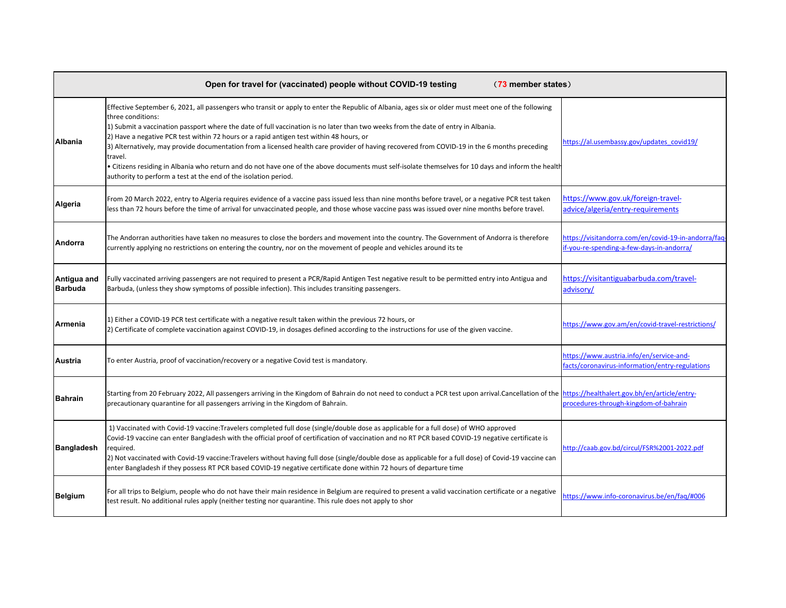|                               | Open for travel for (vaccinated) people without COVID-19 testing<br>(73 member states)                                                                                                                                                                                                                                                                                                                                                                                                                                                                                                                                                                                                                                                                                                        |                                                                                                  |
|-------------------------------|-----------------------------------------------------------------------------------------------------------------------------------------------------------------------------------------------------------------------------------------------------------------------------------------------------------------------------------------------------------------------------------------------------------------------------------------------------------------------------------------------------------------------------------------------------------------------------------------------------------------------------------------------------------------------------------------------------------------------------------------------------------------------------------------------|--------------------------------------------------------------------------------------------------|
| <b>Albania</b>                | Effective September 6, 2021, all passengers who transit or apply to enter the Republic of Albania, ages six or older must meet one of the following<br>three conditions:<br>1) Submit a vaccination passport where the date of full vaccination is no later than two weeks from the date of entry in Albania.<br>2) Have a negative PCR test within 72 hours or a rapid antigen test within 48 hours, or<br>3) Alternatively, may provide documentation from a licensed health care provider of having recovered from COVID-19 in the 6 months preceding<br>travel.<br>• Citizens residing in Albania who return and do not have one of the above documents must self-isolate themselves for 10 days and inform the health<br>authority to perform a test at the end of the isolation period. | https://al.usembassy.gov/updates_covid19/                                                        |
| Algeria                       | From 20 March 2022, entry to Algeria requires evidence of a vaccine pass issued less than nine months before travel, or a negative PCR test taken<br>less than 72 hours before the time of arrival for unvaccinated people, and those whose vaccine pass was issued over nine months before travel.                                                                                                                                                                                                                                                                                                                                                                                                                                                                                           | https://www.gov.uk/foreign-travel-<br>advice/algeria/entry-requirements                          |
| Andorra                       | The Andorran authorities have taken no measures to close the borders and movement into the country. The Government of Andorra is therefore<br>currently applying no restrictions on entering the country, nor on the movement of people and vehicles around its te                                                                                                                                                                                                                                                                                                                                                                                                                                                                                                                            | https://visitandorra.com/en/covid-19-in-andorra/fag<br>if-you-re-spending-a-few-days-in-andorra/ |
| Antigua and<br><b>Barbuda</b> | Fully vaccinated arriving passengers are not required to present a PCR/Rapid Antigen Test negative result to be permitted entry into Antigua and<br>Barbuda, (unless they show symptoms of possible infection). This includes transiting passengers.                                                                                                                                                                                                                                                                                                                                                                                                                                                                                                                                          | https://visitantiguabarbuda.com/travel-<br>advisory/                                             |
| Armenia                       | 1) Either a COVID-19 PCR test certificate with a negative result taken within the previous 72 hours, or<br>[2] Certificate of complete vaccination against COVID-19, in dosages defined according to the instructions for use of the given vaccine.                                                                                                                                                                                                                                                                                                                                                                                                                                                                                                                                           | https://www.gov.am/en/covid-travel-restrictions/                                                 |
| Austria                       | To enter Austria, proof of vaccination/recovery or a negative Covid test is mandatory.                                                                                                                                                                                                                                                                                                                                                                                                                                                                                                                                                                                                                                                                                                        | https://www.austria.info/en/service-and-<br>facts/coronavirus-information/entry-regulations      |
| <b>Bahrain</b>                | Starting from 20 February 2022, All passengers arriving in the Kingdom of Bahrain do not need to conduct a PCR test upon arrival.Cancellation of the https://healthalert.gov.bh/en/article/entry-<br>precautionary quarantine for all passengers arriving in the Kingdom of Bahrain.                                                                                                                                                                                                                                                                                                                                                                                                                                                                                                          | procedures-through-kingdom-of-bahrain                                                            |
| <b>Bangladesh</b>             | 1) Vaccinated with Covid-19 vaccine:Travelers completed full dose (single/double dose as applicable for a full dose) of WHO approved<br>Covid-19 vaccine can enter Bangladesh with the official proof of certification of vaccination and no RT PCR based COVID-19 negative certificate is<br>required.<br>2) Not vaccinated with Covid-19 vaccine:Travelers without having full dose (single/double dose as applicable for a full dose) of Covid-19 vaccine can<br>enter Bangladesh if they possess RT PCR based COVID-19 negative certificate done within 72 hours of departure time                                                                                                                                                                                                        | http://caab.gov.bd/circul/FSR%2001-2022.pdf                                                      |
| <b>Belgium</b>                | For all trips to Belgium, people who do not have their main residence in Belgium are required to present a valid vaccination certificate or a negative<br>test result. No additional rules apply (neither testing nor quarantine. This rule does not apply to shor                                                                                                                                                                                                                                                                                                                                                                                                                                                                                                                            | https://www.info-coronavirus.be/en/fag/#006                                                      |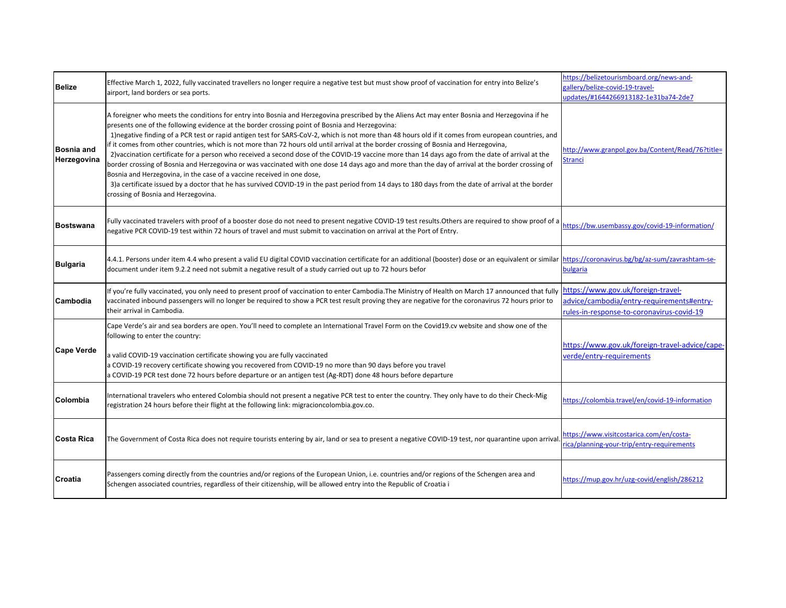| <b>Belize</b>             | Effective March 1, 2022, fully vaccinated travellers no longer require a negative test but must show proof of vaccination for entry into Belize's<br>airport, land borders or sea ports.                                                                                                                                                                                                                                                                                                                                                                                                                                                                                                                                                                                                                                                                                                                                                                                                                                                                                                                                          | https://belizetourismboard.org/news-and-<br>allery/belize-covid-19-travel-<br>updates/#1644266913182-1e31ba74-2de7           |
|---------------------------|-----------------------------------------------------------------------------------------------------------------------------------------------------------------------------------------------------------------------------------------------------------------------------------------------------------------------------------------------------------------------------------------------------------------------------------------------------------------------------------------------------------------------------------------------------------------------------------------------------------------------------------------------------------------------------------------------------------------------------------------------------------------------------------------------------------------------------------------------------------------------------------------------------------------------------------------------------------------------------------------------------------------------------------------------------------------------------------------------------------------------------------|------------------------------------------------------------------------------------------------------------------------------|
| Bosnia and<br>Herzegovina | A foreigner who meets the conditions for entry into Bosnia and Herzegovina prescribed by the Aliens Act may enter Bosnia and Herzegovina if he<br>presents one of the following evidence at the border crossing point of Bosnia and Herzegovina:<br>1) negative finding of a PCR test or rapid antigen test for SARS-CoV-2, which is not more than 48 hours old if it comes from european countries, and<br>if it comes from other countries, which is not more than 72 hours old until arrival at the border crossing of Bosnia and Herzegovina,<br>2)vaccination certificate for a person who received a second dose of the COVID-19 vaccine more than 14 days ago from the date of arrival at the<br>border crossing of Bosnia and Herzegovina or was vaccinated with one dose 14 days ago and more than the day of arrival at the border crossing of<br>Bosnia and Herzegovina, in the case of a vaccine received in one dose,<br>3) a certificate issued by a doctor that he has survived COVID-19 in the past period from 14 days to 180 days from the date of arrival at the border<br>crossing of Bosnia and Herzegovina. | nttp://www.granpol.gov.ba/Content/Read/76?title=<br><b>Stranci</b>                                                           |
| <b>Bostswana</b>          | Fully vaccinated travelers with proof of a booster dose do not need to present negative COVID-19 test results. Others are required to show proof of a<br>negative PCR COVID-19 test within 72 hours of travel and must submit to vaccination on arrival at the Port of Entry.                                                                                                                                                                                                                                                                                                                                                                                                                                                                                                                                                                                                                                                                                                                                                                                                                                                     | https://bw.usembassy.gov/covid-19-information/                                                                               |
| <b>Bulgaria</b>           | 4.4.1. Persons under item 4.4 who present a valid EU digital COVID vaccination certificate for an additional (booster) dose or an equivalent or similar https://coronavirus.bg/bg/az-sum/zavrashtam-se-<br>document under item 9.2.2 need not submit a negative result of a study carried out up to 72 hours befor                                                                                                                                                                                                                                                                                                                                                                                                                                                                                                                                                                                                                                                                                                                                                                                                                | bulgaria                                                                                                                     |
| Cambodia                  | If you're fully vaccinated, you only need to present proof of vaccination to enter Cambodia. The Ministry of Health on March 17 announced that fully<br>vaccinated inbound passengers will no longer be required to show a PCR test result proving they are negative for the coronavirus 72 hours prior to<br>their arrival in Cambodia.                                                                                                                                                                                                                                                                                                                                                                                                                                                                                                                                                                                                                                                                                                                                                                                          | https://www.gov.uk/foreign-travel-<br>advice/cambodia/entry-requirements#entry-<br>rules-in-response-to-coronavirus-covid-19 |
| Cape Verde                | Cape Verde's air and sea borders are open. You'll need to complete an International Travel Form on the Covid19.cv website and show one of the<br>following to enter the country:<br>a valid COVID-19 vaccination certificate showing you are fully vaccinated<br>a COVID-19 recovery certificate showing you recovered from COVID-19 no more than 90 days before you travel<br>a COVID-19 PCR test done 72 hours before departure or an antigen test (Ag-RDT) done 48 hours before departure                                                                                                                                                                                                                                                                                                                                                                                                                                                                                                                                                                                                                                      | https://www.gov.uk/foreign-travel-advice/cape-<br>verde/entry-requirements                                                   |
| Colombia                  | International travelers who entered Colombia should not present a negative PCR test to enter the country. They only have to do their Check-Mig<br>registration 24 hours before their flight at the following link: migracioncolombia.gov.co.                                                                                                                                                                                                                                                                                                                                                                                                                                                                                                                                                                                                                                                                                                                                                                                                                                                                                      | https://colombia.travel/en/covid-19-information                                                                              |
| lCosta Rica               | The Government of Costa Rica does not require tourists entering by air, land or sea to present a negative COVID-19 test, nor quarantine upon arrival                                                                                                                                                                                                                                                                                                                                                                                                                                                                                                                                                                                                                                                                                                                                                                                                                                                                                                                                                                              | https://www.visitcostarica.com/en/costa-<br>rica/planning-your-trip/entry-requirements                                       |
| <b>Croatia</b>            | Passengers coming directly from the countries and/or regions of the European Union, i.e. countries and/or regions of the Schengen area and<br>Schengen associated countries, regardless of their citizenship, will be allowed entry into the Republic of Croatia i                                                                                                                                                                                                                                                                                                                                                                                                                                                                                                                                                                                                                                                                                                                                                                                                                                                                | https://mup.gov.hr/uzg-covid/english/286212                                                                                  |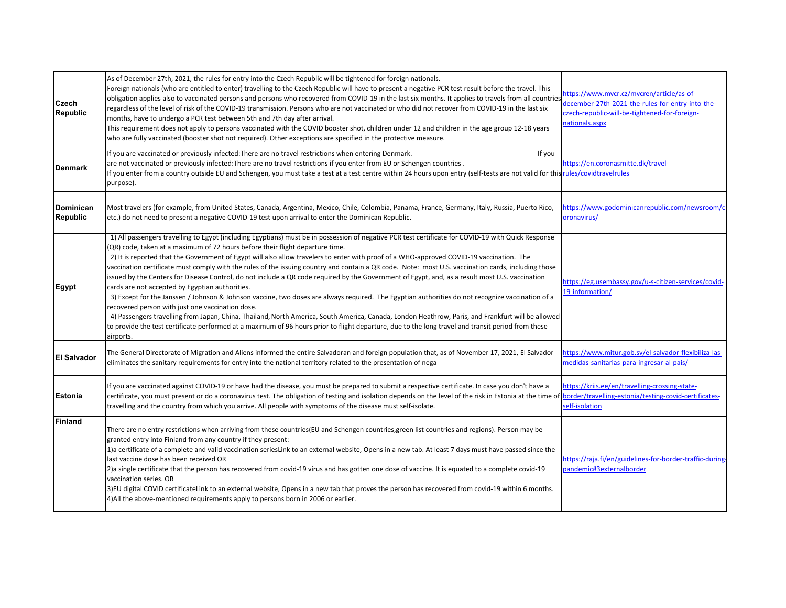| Czech<br><b>Republic</b>     | As of December 27th, 2021, the rules for entry into the Czech Republic will be tightened for foreign nationals.<br>Foreign nationals (who are entitled to enter) travelling to the Czech Republic will have to present a negative PCR test result before the travel. This<br>obligation applies also to vaccinated persons and persons who recovered from COVID-19 in the last six months. It applies to travels from all countries<br>regardless of the level of risk of the COVID-19 transmission. Persons who are not vaccinated or who did not recover from COVID-19 in the last six<br>months, have to undergo a PCR test between 5th and 7th day after arrival.<br>This requirement does not apply to persons vaccinated with the COVID booster shot, children under 12 and children in the age group 12-18 years<br>who are fully vaccinated (booster shot not required). Other exceptions are specified in the protective measure.                                                                                                                                                                                                                                                                                                                                    | https://www.mvcr.cz/mvcren/article/as-of-<br>december-27th-2021-the-rules-for-entry-into-the-<br>czech-republic-will-be-tightened-for-foreign-<br>nationals.aspx |
|------------------------------|-------------------------------------------------------------------------------------------------------------------------------------------------------------------------------------------------------------------------------------------------------------------------------------------------------------------------------------------------------------------------------------------------------------------------------------------------------------------------------------------------------------------------------------------------------------------------------------------------------------------------------------------------------------------------------------------------------------------------------------------------------------------------------------------------------------------------------------------------------------------------------------------------------------------------------------------------------------------------------------------------------------------------------------------------------------------------------------------------------------------------------------------------------------------------------------------------------------------------------------------------------------------------------|------------------------------------------------------------------------------------------------------------------------------------------------------------------|
| <b>Denmark</b>               | If you are vaccinated or previously infected: There are no travel restrictions when entering Denmark.<br>If you<br>are not vaccinated or previously infected: There are no travel restrictions if you enter from EU or Schengen countries.<br>If you enter from a country outside EU and Schengen, you must take a test at a test centre within 24 hours upon entry (self-tests are not valid for this rules/covidtravelrules<br>purpose).                                                                                                                                                                                                                                                                                                                                                                                                                                                                                                                                                                                                                                                                                                                                                                                                                                    | https://en.coronasmitte.dk/travel-                                                                                                                               |
| Dominican<br><b>Republic</b> | Most travelers (for example, from United States, Canada, Argentina, Mexico, Chile, Colombia, Panama, France, Germany, Italy, Russia, Puerto Rico,<br>etc.) do not need to present a negative COVID-19 test upon arrival to enter the Dominican Republic.                                                                                                                                                                                                                                                                                                                                                                                                                                                                                                                                                                                                                                                                                                                                                                                                                                                                                                                                                                                                                      | https://www.godominicanrepublic.com/newsroom/c<br>oronavirus/                                                                                                    |
| Egypt                        | 1) All passengers travelling to Egypt (including Egyptians) must be in possession of negative PCR test certificate for COVID-19 with Quick Response<br>(QR) code, taken at a maximum of 72 hours before their flight departure time.<br>2) It is reported that the Government of Egypt will also allow travelers to enter with proof of a WHO-approved COVID-19 vaccination. The<br>vaccination certificate must comply with the rules of the issuing country and contain a QR code. Note: most U.S. vaccination cards, including those<br>issued by the Centers for Disease Control, do not include a QR code required by the Government of Egypt, and, as a result most U.S. vaccination<br>cards are not accepted by Egyptian authorities.<br>3) Except for the Janssen / Johnson & Johnson vaccine, two doses are always required. The Egyptian authorities do not recognize vaccination of a<br>recovered person with just one vaccination dose.<br>4) Passengers travelling from Japan, China, Thailand, North America, South America, Canada, London Heathrow, Paris, and Frankfurt will be allowed<br>to provide the test certificate performed at a maximum of 96 hours prior to flight departure, due to the long travel and transit period from these<br>airports. | https://eg.usembassy.gov/u-s-citizen-services/covid-<br>19-information/                                                                                          |
| <b>El Salvador</b>           | The General Directorate of Migration and Aliens informed the entire Salvadoran and foreign population that, as of November 17, 2021, El Salvador<br>eliminates the sanitary requirements for entry into the national territory related to the presentation of nega                                                                                                                                                                                                                                                                                                                                                                                                                                                                                                                                                                                                                                                                                                                                                                                                                                                                                                                                                                                                            | https://www.mitur.gob.sv/el-salvador-flexibiliza-las-<br>medidas-sanitarias-para-ingresar-al-pais/                                                               |
| <b>Estonia</b>               | If you are vaccinated against COVID-19 or have had the disease, you must be prepared to submit a respective certificate. In case you don't have a<br>certificate, you must present or do a coronavirus test. The obligation of testing and isolation depends on the level of the risk in Estonia at the time of<br>travelling and the country from which you arrive. All people with symptoms of the disease must self-isolate.                                                                                                                                                                                                                                                                                                                                                                                                                                                                                                                                                                                                                                                                                                                                                                                                                                               | https://kriis.ee/en/travelling-crossing-state-<br>border/travelling-estonia/testing-covid-certificates-<br>self-isolation                                        |
| Finland                      | There are no entry restrictions when arriving from these countries(EU and Schengen countries,green list countries and regions). Person may be<br>granted entry into Finland from any country if they present:<br>1)a certificate of a complete and valid vaccination seriesLink to an external website, Opens in a new tab. At least 7 days must have passed since the<br>last vaccine dose has been received OR<br>2) a single certificate that the person has recovered from covid-19 virus and has gotten one dose of vaccine. It is equated to a complete covid-19<br>vaccination series. OR<br>3)EU digital COVID certificateLink to an external website, Opens in a new tab that proves the person has recovered from covid-19 within 6 months.<br>4) All the above-mentioned requirements apply to persons born in 2006 or earlier.                                                                                                                                                                                                                                                                                                                                                                                                                                    | https://raja.fi/en/guidelines-for-border-traffic-during<br>pandemic#3externalborder                                                                              |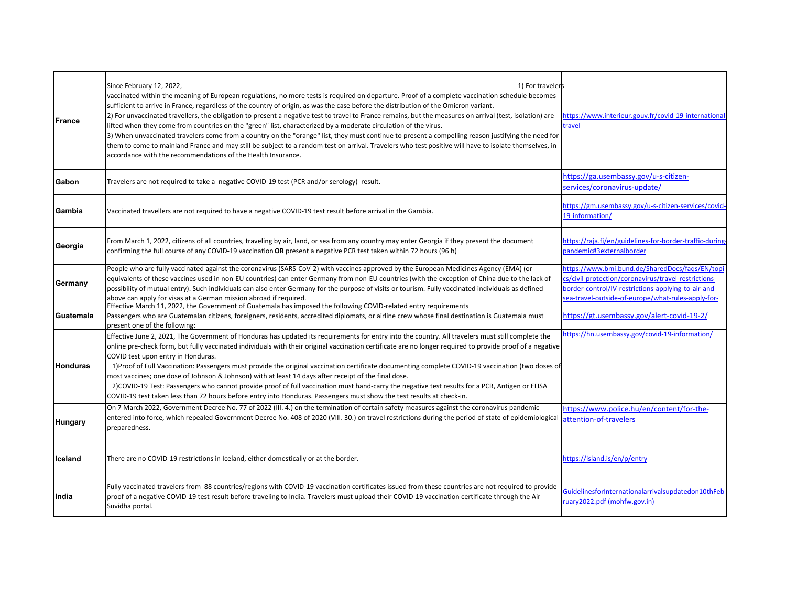| France           | Since February 12, 2022,<br>1) For travelers<br>vaccinated within the meaning of European regulations, no more tests is required on departure. Proof of a complete vaccination schedule becomes<br>sufficient to arrive in France, regardless of the country of origin, as was the case before the distribution of the Omicron variant.<br>[2] For unvaccinated travellers, the obligation to present a negative test to travel to France remains, but the measures on arrival (test, isolation) are<br>lifted when they come from countries on the "green" list, characterized by a moderate circulation of the virus.<br>3) When unvaccinated travelers come from a country on the "orange" list, they must continue to present a compelling reason justifying the need for<br>them to come to mainland France and may still be subject to a random test on arrival. Travelers who test positive will have to isolate themselves, in<br>accordance with the recommendations of the Health Insurance. | https://www.interieur.gouv.fr/covid-19-international-<br>travel                                                                                                                                                    |
|------------------|--------------------------------------------------------------------------------------------------------------------------------------------------------------------------------------------------------------------------------------------------------------------------------------------------------------------------------------------------------------------------------------------------------------------------------------------------------------------------------------------------------------------------------------------------------------------------------------------------------------------------------------------------------------------------------------------------------------------------------------------------------------------------------------------------------------------------------------------------------------------------------------------------------------------------------------------------------------------------------------------------------|--------------------------------------------------------------------------------------------------------------------------------------------------------------------------------------------------------------------|
| Gabon            | Travelers are not required to take a negative COVID-19 test (PCR and/or serology) result.                                                                                                                                                                                                                                                                                                                                                                                                                                                                                                                                                                                                                                                                                                                                                                                                                                                                                                              | https://ga.usembassy.gov/u-s-citizen-<br>services/coronavirus-update/                                                                                                                                              |
| Gambia           | Vaccinated travellers are not required to have a negative COVID-19 test result before arrival in the Gambia.                                                                                                                                                                                                                                                                                                                                                                                                                                                                                                                                                                                                                                                                                                                                                                                                                                                                                           | https://gm.usembassy.gov/u-s-citizen-services/covid-<br>19-information/                                                                                                                                            |
| Georgia          | From March 1, 2022, citizens of all countries, traveling by air, land, or sea from any country may enter Georgia if they present the document<br>confirming the full course of any COVID-19 vaccination OR present a negative PCR test taken within 72 hours (96 h)                                                                                                                                                                                                                                                                                                                                                                                                                                                                                                                                                                                                                                                                                                                                    | https://raia.fi/en/guidelines-for-border-traffic-during<br>pandemic#3externalborder                                                                                                                                |
| Germany          | People who are fully vaccinated against the coronavirus (SARS-CoV-2) with vaccines approved by the European Medicines Agency (EMA) (or<br>equivalents of these vaccines used in non-EU countries) can enter Germany from non-EU countries (with the exception of China due to the lack of<br>possibility of mutual entry). Such individuals can also enter Germany for the purpose of visits or tourism. Fully vaccinated individuals as defined<br>above can apply for visas at a German mission abroad if required.                                                                                                                                                                                                                                                                                                                                                                                                                                                                                  | https://www.bmi.bund.de/SharedDocs/faqs/EN/topi<br>cs/civil-protection/coronavirus/travel-restrictions-<br>order-control/IV-restrictions-applying-to-air-and-<br>ea-travel-outside-of-europe/what-rules-apply-for- |
| <b>Guatemala</b> | Effective March 11, 2022, the Government of Guatemala has imposed the following COVID-related entry requirements<br>Passengers who are Guatemalan citizens, foreigners, residents, accredited diplomats, or airline crew whose final destination is Guatemala must<br>present one of the following:                                                                                                                                                                                                                                                                                                                                                                                                                                                                                                                                                                                                                                                                                                    | https://gt.usembassy.gov/alert-covid-19-2/                                                                                                                                                                         |
| <b>Honduras</b>  | Effective June 2, 2021, The Government of Honduras has updated its requirements for entry into the country. All travelers must still complete the<br>online pre-check form, but fully vaccinated individuals with their original vaccination certificate are no longer required to provide proof of a negative<br>COVID test upon entry in Honduras.<br>1) Proof of Full Vaccination: Passengers must provide the original vaccination certificate documenting complete COVID-19 vaccination (two doses of<br>most vaccines; one dose of Johnson & Johnson) with at least 14 days after receipt of the final dose.<br>2) COVID-19 Test: Passengers who cannot provide proof of full vaccination must hand-carry the negative test results for a PCR, Antigen or ELISA<br>COVID-19 test taken less than 72 hours before entry into Honduras. Passengers must show the test results at check-in.                                                                                                         | https://hn.usembassy.gov/covid-19-information/                                                                                                                                                                     |
| <b>Hungary</b>   | On 7 March 2022, Government Decree No. 77 of 2022 (III. 4.) on the termination of certain safety measures against the coronavirus pandemic<br>entered into force, which repealed Government Decree No. 408 of 2020 (VIII. 30.) on travel restrictions during the period of state of epidemiological<br>preparedness.                                                                                                                                                                                                                                                                                                                                                                                                                                                                                                                                                                                                                                                                                   | https://www.police.hu/en/content/for-the-<br>attention-of-travelers                                                                                                                                                |
| liceland         | There are no COVID-19 restrictions in Iceland, either domestically or at the border.                                                                                                                                                                                                                                                                                                                                                                                                                                                                                                                                                                                                                                                                                                                                                                                                                                                                                                                   | https://island.is/en/p/entry                                                                                                                                                                                       |
| India            | Fully vaccinated travelers from 88 countries/regions with COVID-19 vaccination certificates issued from these countries are not required to provide<br>proof of a negative COVID-19 test result before traveling to India. Travelers must upload their COVID-19 vaccination certificate through the Air<br>Suvidha portal.                                                                                                                                                                                                                                                                                                                                                                                                                                                                                                                                                                                                                                                                             | GuidelinesforInternationalarrivalsupdatedon10thFeb<br>uary2022.pdf (mohfw.gov.in)                                                                                                                                  |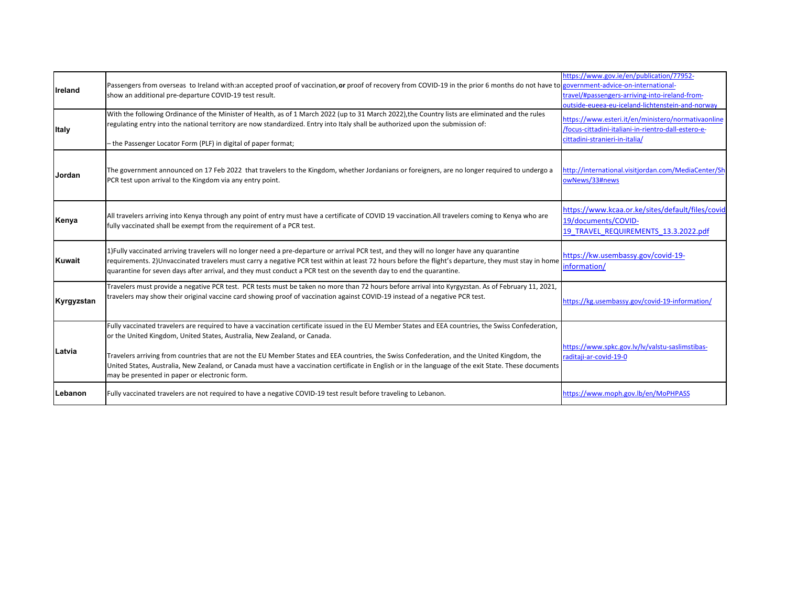| <b>I</b> reland | Passengers from overseas to Ireland with:an accepted proof of vaccination, or proof of recovery from COVID-19 in the prior 6 months do not have to government-advice-on-international-<br>show an additional pre-departure COVID-19 test result.                                                                                                                                                                                                                                                                                                                                          | https://www.gov.ie/en/publication/77952-<br>travel/#passengers-arriving-into-ireland-from-<br>outside-eueea-eu-iceland-lichtenstein-and-norway |
|-----------------|-------------------------------------------------------------------------------------------------------------------------------------------------------------------------------------------------------------------------------------------------------------------------------------------------------------------------------------------------------------------------------------------------------------------------------------------------------------------------------------------------------------------------------------------------------------------------------------------|------------------------------------------------------------------------------------------------------------------------------------------------|
| <b>Italy</b>    | With the following Ordinance of the Minister of Health, as of 1 March 2022 (up to 31 March 2022), the Country lists are eliminated and the rules<br>regulating entry into the national territory are now standardized. Entry into Italy shall be authorized upon the submission of:                                                                                                                                                                                                                                                                                                       | https://www.esteri.it/en/ministero/normativaonline<br>/focus-cittadini-italiani-in-rientro-dall-estero-e-<br>cittadini-stranieri-in-italia/    |
|                 | - the Passenger Locator Form (PLF) in digital of paper format;                                                                                                                                                                                                                                                                                                                                                                                                                                                                                                                            |                                                                                                                                                |
| Jordan          | The government announced on 17 Feb 2022 that travelers to the Kingdom, whether Jordanians or foreigners, are no longer required to undergo a<br>PCR test upon arrival to the Kingdom via any entry point.                                                                                                                                                                                                                                                                                                                                                                                 | http://international.visitjordan.com/MediaCenter/Sh<br>owNews/33#news                                                                          |
| Kenya           | All travelers arriving into Kenya through any point of entry must have a certificate of COVID 19 vaccination. All travelers coming to Kenya who are<br>fully vaccinated shall be exempt from the requirement of a PCR test.                                                                                                                                                                                                                                                                                                                                                               | https://www.kcaa.or.ke/sites/default/files/covid<br>19/documents/COVID-<br>19 TRAVEL REQUIREMENTS 13.3.2022.pdf                                |
| <b>Kuwait</b>   | 1) Fully vaccinated arriving travelers will no longer need a pre-departure or arrival PCR test, and they will no longer have any quarantine<br>requirements. 2) Unvaccinated travelers must carry a negative PCR test within at least 72 hours before the flight's departure, they must stay in home<br>quarantine for seven days after arrival, and they must conduct a PCR test on the seventh day to end the quarantine.                                                                                                                                                               | https://kw.usembassy.gov/covid-19-<br>information/                                                                                             |
| Kyrgyzstan      | Travelers must provide a negative PCR test. PCR tests must be taken no more than 72 hours before arrival into Kyrgyzstan. As of February 11, 2021,<br>travelers may show their original vaccine card showing proof of vaccination against COVID-19 instead of a negative PCR test.                                                                                                                                                                                                                                                                                                        | https://kg.usembassy.gov/covid-19-information/                                                                                                 |
| Latvia          | Fully vaccinated travelers are required to have a vaccination certificate issued in the EU Member States and EEA countries, the Swiss Confederation,<br>or the United Kingdom, United States, Australia, New Zealand, or Canada.<br>Travelers arriving from countries that are not the EU Member States and EEA countries, the Swiss Confederation, and the United Kingdom, the<br>United States, Australia, New Zealand, or Canada must have a vaccination certificate in English or in the language of the exit State. These documents<br>may be presented in paper or electronic form. | https://www.spkc.gov.lv/lv/valstu-saslimstibas-<br>raditaji-ar-covid-19-0                                                                      |
| Lebanon         | Fully vaccinated travelers are not required to have a negative COVID-19 test result before traveling to Lebanon.                                                                                                                                                                                                                                                                                                                                                                                                                                                                          | https://www.moph.gov.lb/en/MoPHPASS                                                                                                            |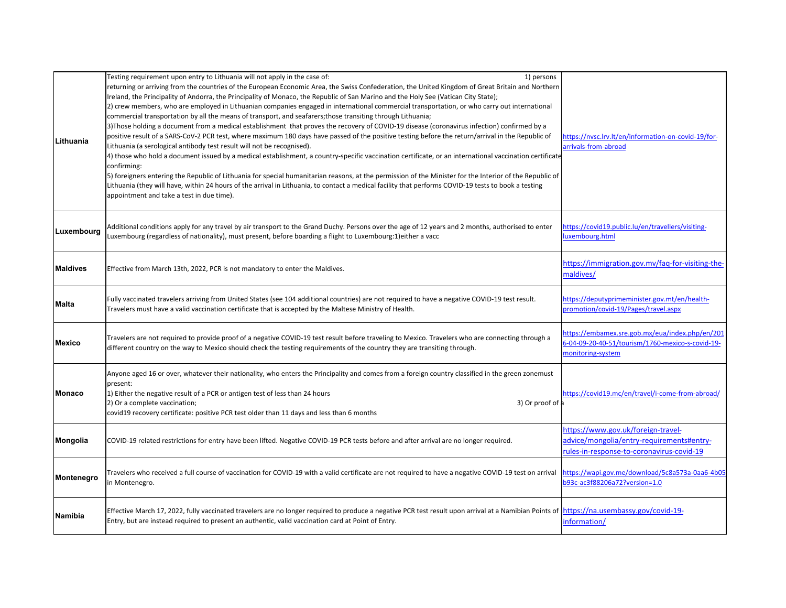| Lithuania  | Testing requirement upon entry to Lithuania will not apply in the case of:<br>1) persons<br>returning or arriving from the countries of the European Economic Area, the Swiss Confederation, the United Kingdom of Great Britain and Northern<br>Ireland, the Principality of Andorra, the Principality of Monaco, the Republic of San Marino and the Holy See (Vatican City State);<br>2) crew members, who are employed in Lithuanian companies engaged in international commercial transportation, or who carry out international<br>commercial transportation by all the means of transport, and seafarers; those transiting through Lithuania;<br>3) Those holding a document from a medical establishment that proves the recovery of COVID-19 disease (coronavirus infection) confirmed by a<br>positive result of a SARS-CoV-2 PCR test, where maximum 180 days have passed of the positive testing before the return/arrival in the Republic of<br>Lithuania (a serological antibody test result will not be recognised).<br>4) those who hold a document issued by a medical establishment, a country-specific vaccination certificate, or an international vaccination certificate<br>confirming:<br>5) foreigners entering the Republic of Lithuania for special humanitarian reasons, at the permission of the Minister for the Interior of the Republic of<br>Lithuania (they will have, within 24 hours of the arrival in Lithuania, to contact a medical facility that performs COVID-19 tests to book a testing<br>appointment and take a test in due time). | https://nvsc.lrv.lt/en/information-on-covid-19/for-<br>arrivals-from-abroad                                                  |
|------------|-------------------------------------------------------------------------------------------------------------------------------------------------------------------------------------------------------------------------------------------------------------------------------------------------------------------------------------------------------------------------------------------------------------------------------------------------------------------------------------------------------------------------------------------------------------------------------------------------------------------------------------------------------------------------------------------------------------------------------------------------------------------------------------------------------------------------------------------------------------------------------------------------------------------------------------------------------------------------------------------------------------------------------------------------------------------------------------------------------------------------------------------------------------------------------------------------------------------------------------------------------------------------------------------------------------------------------------------------------------------------------------------------------------------------------------------------------------------------------------------------------------------------------------------------------------------------------|------------------------------------------------------------------------------------------------------------------------------|
| Luxembourg | Additional conditions apply for any travel by air transport to the Grand Duchy. Persons over the age of 12 years and 2 months, authorised to enter<br>Luxembourg (regardless of nationality), must present, before boarding a flight to Luxembourg:1)either a vacc                                                                                                                                                                                                                                                                                                                                                                                                                                                                                                                                                                                                                                                                                                                                                                                                                                                                                                                                                                                                                                                                                                                                                                                                                                                                                                            | https://covid19.public.lu/en/travellers/visiting-<br>uxembourg.html                                                          |
| Maldives   | Effective from March 13th, 2022, PCR is not mandatory to enter the Maldives.                                                                                                                                                                                                                                                                                                                                                                                                                                                                                                                                                                                                                                                                                                                                                                                                                                                                                                                                                                                                                                                                                                                                                                                                                                                                                                                                                                                                                                                                                                  | https://immigration.gov.mv/faq-for-visiting-the-<br>maldives/                                                                |
| Malta      | Fully vaccinated travelers arriving from United States (see 104 additional countries) are not required to have a negative COVID-19 test result.<br>Travelers must have a valid vaccination certificate that is accepted by the Maltese Ministry of Health.                                                                                                                                                                                                                                                                                                                                                                                                                                                                                                                                                                                                                                                                                                                                                                                                                                                                                                                                                                                                                                                                                                                                                                                                                                                                                                                    | https://deputyprimeminister.gov.mt/en/health-<br>promotion/covid-19/Pages/travel.aspx                                        |
| Mexico     | Travelers are not required to provide proof of a negative COVID-19 test result before traveling to Mexico. Travelers who are connecting through a<br>different country on the way to Mexico should check the testing requirements of the country they are transiting through.                                                                                                                                                                                                                                                                                                                                                                                                                                                                                                                                                                                                                                                                                                                                                                                                                                                                                                                                                                                                                                                                                                                                                                                                                                                                                                 | https://embamex.sre.gob.mx/eua/index.php/en/201<br>6-04-09-20-40-51/tourism/1760-mexico-s-covid-19-<br>monitoring-system     |
| Monaco     | Anyone aged 16 or over, whatever their nationality, who enters the Principality and comes from a foreign country classified in the green zonemust<br>present:<br>1) Either the negative result of a PCR or antigen test of less than 24 hours<br>2) Or a complete vaccination;<br>3) Or proof of a<br>covid19 recovery certificate: positive PCR test older than 11 days and less than 6 months                                                                                                                                                                                                                                                                                                                                                                                                                                                                                                                                                                                                                                                                                                                                                                                                                                                                                                                                                                                                                                                                                                                                                                               | https://covid19.mc/en/travel/i-come-from-abroad/                                                                             |
| Mongolia   | COVID-19 related restrictions for entry have been lifted. Negative COVID-19 PCR tests before and after arrival are no longer required.                                                                                                                                                                                                                                                                                                                                                                                                                                                                                                                                                                                                                                                                                                                                                                                                                                                                                                                                                                                                                                                                                                                                                                                                                                                                                                                                                                                                                                        | https://www.gov.uk/foreign-travel-<br>advice/mongolia/entry-requirements#entry-<br>rules-in-response-to-coronavirus-covid-19 |
| Montenegro | Travelers who received a full course of vaccination for COVID-19 with a valid certificate are not required to have a negative COVID-19 test on arrival<br>in Montenegro.                                                                                                                                                                                                                                                                                                                                                                                                                                                                                                                                                                                                                                                                                                                                                                                                                                                                                                                                                                                                                                                                                                                                                                                                                                                                                                                                                                                                      | https://wapi.gov.me/download/5c8a573a-0aa6-4b05<br>b93c-ac3f88206a72?version=1.0                                             |
| Namibia    | Effective March 17, 2022, fully vaccinated travelers are no longer required to produce a negative PCR test result upon arrival at a Namibian Points of https://na.usembassy.gov/covid-19-<br>Entry, but are instead required to present an authentic, valid vaccination card at Point of Entry.                                                                                                                                                                                                                                                                                                                                                                                                                                                                                                                                                                                                                                                                                                                                                                                                                                                                                                                                                                                                                                                                                                                                                                                                                                                                               | information/                                                                                                                 |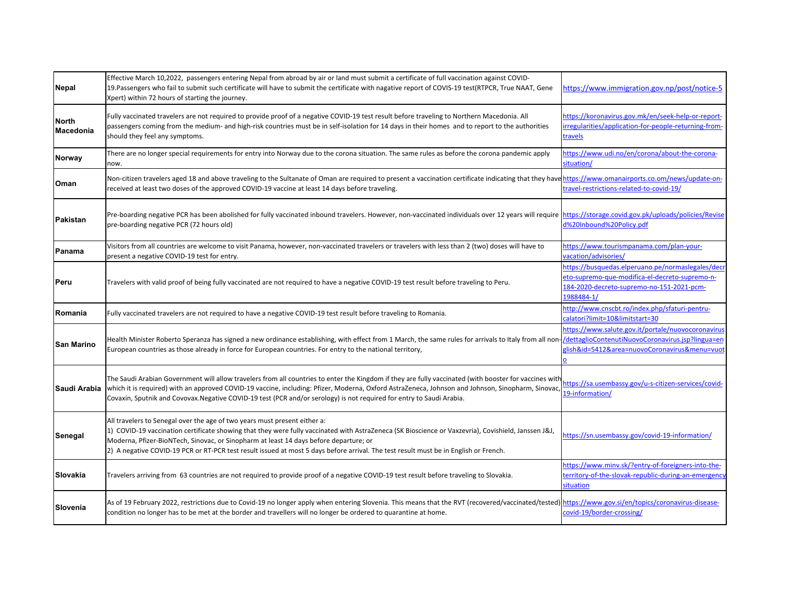| <b>Nepal</b>                     | Effective March 10,2022, passengers entering Nepal from abroad by air or land must submit a certificate of full vaccination against COVID-<br>19. Passengers who fail to submit such certificate will have to submit the certificate with nagative report of COVIS-19 test(RTPCR, True NAAT, Gene<br>Xpert) within 72 hours of starting the journey.                                                                                                               | https://www.immigration.gov.np/post/notice-5                                                                                                                   |
|----------------------------------|--------------------------------------------------------------------------------------------------------------------------------------------------------------------------------------------------------------------------------------------------------------------------------------------------------------------------------------------------------------------------------------------------------------------------------------------------------------------|----------------------------------------------------------------------------------------------------------------------------------------------------------------|
| <b>North</b><br><b>Macedonia</b> | Fully vaccinated travelers are not required to provide proof of a negative COVID-19 test result before traveling to Northern Macedonia. All<br>passengers coming from the medium- and high-risk countries must be in self-isolation for 14 days in their homes and to report to the authorities<br>should they feel any symptoms.                                                                                                                                  | https://koronavirus.gov.mk/en/seek-help-or-report-<br>rregularities/application-for-people-returning-from-<br>ravels:                                          |
| Norway                           | There are no longer special requirements for entry into Norway due to the corona situation. The same rules as before the corona pandemic apply<br>now.                                                                                                                                                                                                                                                                                                             | https://www.udi.no/en/corona/about-the-corona-<br>situation/                                                                                                   |
| Oman                             | Non-citizen travelers aged 18 and above traveling to the Sultanate of Oman are required to present a vaccination certificate indicating that they haven https://www.omanairports.co.om/news/update-on-<br>received at least two doses of the approved COVID-19 vaccine at least 14 days before traveling.                                                                                                                                                          | ravel-restrictions-related-to-covid-19/                                                                                                                        |
| Pakistan                         | Pre-boarding negative PCR has been abolished for fully vaccinated inbound travelers. However, non-vaccinated individuals over 12 years will require https://storage.covid.gov.pk/uploads/policies/Revise<br>pre-boarding negative PCR (72 hours old)                                                                                                                                                                                                               | d%20Inbound%20Policy.pdf                                                                                                                                       |
| Panama                           | Visitors from all countries are welcome to visit Panama, however, non-vaccinated travelers or travelers with less than 2 (two) doses will have to<br>present a negative COVID-19 test for entry.                                                                                                                                                                                                                                                                   | https://www.tourismpanama.com/plan-your-<br>/acation/advisories                                                                                                |
| Peru                             | Travelers with valid proof of being fully vaccinated are not required to have a negative COVID-19 test result before traveling to Peru.                                                                                                                                                                                                                                                                                                                            | https://busquedas.elperuano.pe/normaslegales/decr<br>eto-supremo-que-modifica-el-decreto-supremo-n-<br>184-2020-decreto-supremo-no-151-2021-pcm-<br>1988484-1/ |
| Romania                          | Fully vaccinated travelers are not required to have a negative COVID-19 test result before traveling to Romania.                                                                                                                                                                                                                                                                                                                                                   | http://www.cnscbt.ro/index.php/sfaturi-pentru-<br>calatori?limit=10&limitstart=30                                                                              |
| <b>San Marino</b>                | Health Minister Roberto Speranza has signed a new ordinance establishing, with effect from 1 March, the same rules for arrivals to Italy from all non-IdettaglioContenutiNuovoCoronavirus.isp?lingua=en<br>European countries as those already in force for European countries. For entry to the national territory,                                                                                                                                               | https://www.salute.gov.it/portale/nuovocoronavirus<br>lish&id=5412&area=nuovoCoronavirus&menu=vuot                                                             |
|                                  | The Saudi Arabian Government will allow travelers from all countries to enter the Kingdom if they are fully vaccinated (with booster for vaccines with<br>Saudi Arabia   which it is required) with an approved COVID-19 vaccine, including: Pfizer, Moderna, Oxford AstraZeneca, Johnson and Johnson, Sinopharm, Sinovac,<br>Covaxin, Sputnik and Covovax. Negative COVID-19 test (PCR and/or serology) is not required for entry to Saudi Arabia.                | https://sa.usembassy.gov/u-s-citizen-services/covid-<br>19-information/                                                                                        |
| Senegal                          | All travelers to Senegal over the age of two years must present either a:<br>1) COVID-19 vaccination certificate showing that they were fully vaccinated with AstraZeneca (SK Bioscience or Vaxzevria), Covishield, Janssen J&J,<br>Moderna, Pfizer-BioNTech, Sinovac, or Sinopharm at least 14 days before departure; or<br>[2] A negative COVID-19 PCR or RT-PCR test result issued at most 5 days before arrival. The test result must be in English or French. | https://sn.usembassy.gov/covid-19-information/                                                                                                                 |
| Slovakia                         | Travelers arriving from 63 countries are not required to provide proof of a negative COVID-19 test result before traveling to Slovakia.                                                                                                                                                                                                                                                                                                                            | https://www.minv.sk/?entry-of-foreigners-into-the-<br>erritory-of-the-slovak-republic-during-an-emergency<br>situation                                         |
| Slovenia                         | As of 19 February 2022, restrictions due to Covid-19 no longer apply when entering Slovenia. This means that the RVT (recovered/vaccinated/tested) https://www.gov.si/en/topics/coronavirus-disease-<br>condition no longer has to be met at the border and travellers will no longer be ordered to quarantine at home.                                                                                                                                            | covid-19/border-crossing/                                                                                                                                      |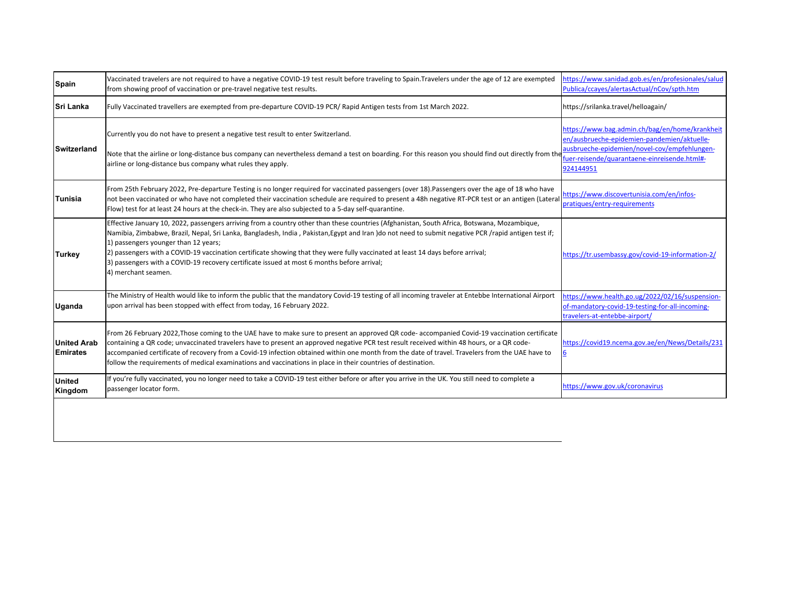| <b>Spain</b>                          | Vaccinated travelers are not required to have a negative COVID-19 test result before traveling to Spain. Travelers under the age of 12 are exempted<br>from showing proof of vaccination or pre-travel negative test results.                                                                                                                                                                                                                                                                                                                                                                       | https://www.sanidad.gob.es/en/profesionales/salud<br>Publica/ccayes/alertasActual/nCov/spth.htm                                                                                                            |
|---------------------------------------|-----------------------------------------------------------------------------------------------------------------------------------------------------------------------------------------------------------------------------------------------------------------------------------------------------------------------------------------------------------------------------------------------------------------------------------------------------------------------------------------------------------------------------------------------------------------------------------------------------|------------------------------------------------------------------------------------------------------------------------------------------------------------------------------------------------------------|
| <b>Sri Lanka</b>                      | Fully Vaccinated travellers are exempted from pre-departure COVID-19 PCR/ Rapid Antigen tests from 1st March 2022.                                                                                                                                                                                                                                                                                                                                                                                                                                                                                  | https://srilanka.travel/helloagain/                                                                                                                                                                        |
| <b>Switzerland</b>                    | Currently you do not have to present a negative test result to enter Switzerland.<br>Note that the airline or long-distance bus company can nevertheless demand a test on boarding. For this reason you should find out directly from the<br>airline or long-distance bus company what rules they apply.                                                                                                                                                                                                                                                                                            | https://www.bag.admin.ch/bag/en/home/krankheit<br>en/ausbrueche-epidemien-pandemien/aktuelle-<br>ausbrueche-epidemien/novel-cov/empfehlungen-<br>fuer-reisende/quarantaene-einreisende.html#-<br>924144951 |
| Tunisia                               | From 25th February 2022, Pre-departure Testing is no longer required for vaccinated passengers (over 18).Passengers over the age of 18 who have<br>not been vaccinated or who have not completed their vaccination schedule are required to present a 48h negative RT-PCR test or an antigen (Lateral<br>Flow) test for at least 24 hours at the check-in. They are also subjected to a 5-day self-quarantine.                                                                                                                                                                                      | https://www.discovertunisia.com/en/infos-<br>pratiques/entry-requirements                                                                                                                                  |
| <b>Turkey</b>                         | Effective January 10, 2022, passengers arriving from a country other than these countries (Afghanistan, South Africa, Botswana, Mozambique,<br>Namibia, Zimbabwe, Brazil, Nepal, Sri Lanka, Bangladesh, India, Pakistan, Egypt and Iran ) do not need to submit negative PCR /rapid antigen test if;<br>1) passengers younger than 12 years;<br>2) passengers with a COVID-19 vaccination certificate showing that they were fully vaccinated at least 14 days before arrival;<br>3) passengers with a COVID-19 recovery certificate issued at most 6 months before arrival;<br>4) merchant seamen. | https://tr.usembassy.gov/covid-19-information-2/                                                                                                                                                           |
| Uganda                                | The Ministry of Health would like to inform the public that the mandatory Covid-19 testing of all incoming traveler at Entebbe International Airport<br>upon arrival has been stopped with effect from today, 16 February 2022.                                                                                                                                                                                                                                                                                                                                                                     | https://www.health.go.ug/2022/02/16/suspension-<br>of-mandatory-covid-19-testing-for-all-incoming-<br>travelers-at-entebbe-airport/                                                                        |
| <b>United Arab</b><br><b>Emirates</b> | From 26 February 2022, Those coming to the UAE have to make sure to present an approved QR code-accompanied Covid-19 vaccination certificate<br>containing a QR code; unvaccinated travelers have to present an approved negative PCR test result received within 48 hours, or a QR code-<br>accompanied certificate of recovery from a Covid-19 infection obtained within one month from the date of travel. Travelers from the UAE have to<br>follow the requirements of medical examinations and vaccinations in place in their countries of destination.                                        | https://covid19.ncema.gov.ae/en/News/Details/231                                                                                                                                                           |
| <b>United</b><br>Kingdom              | If you're fully vaccinated, you no longer need to take a COVID-19 test either before or after you arrive in the UK. You still need to complete a<br>passenger locator form.                                                                                                                                                                                                                                                                                                                                                                                                                         | https://www.gov.uk/coronavirus                                                                                                                                                                             |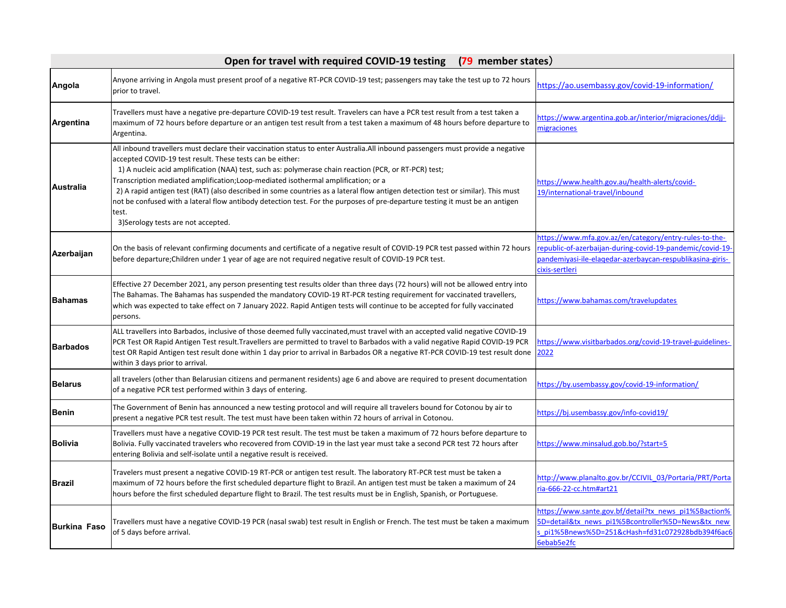| Open for travel with required COVID-19 testing<br>(79 member states) |                                                                                                                                                                                                                                                                                                                                                                                                                                                                                                                                                                                                                                                                                                               |                                                                                                                                                                                                   |
|----------------------------------------------------------------------|---------------------------------------------------------------------------------------------------------------------------------------------------------------------------------------------------------------------------------------------------------------------------------------------------------------------------------------------------------------------------------------------------------------------------------------------------------------------------------------------------------------------------------------------------------------------------------------------------------------------------------------------------------------------------------------------------------------|---------------------------------------------------------------------------------------------------------------------------------------------------------------------------------------------------|
| Angola                                                               | Anyone arriving in Angola must present proof of a negative RT-PCR COVID-19 test; passengers may take the test up to 72 hours<br>prior to travel.                                                                                                                                                                                                                                                                                                                                                                                                                                                                                                                                                              | https://ao.usembassy.gov/covid-19-information/                                                                                                                                                    |
| Argentina                                                            | Travellers must have a negative pre-departure COVID-19 test result. Travelers can have a PCR test result from a test taken a<br>maximum of 72 hours before departure or an antigen test result from a test taken a maximum of 48 hours before departure to<br>Argentina.                                                                                                                                                                                                                                                                                                                                                                                                                                      | https://www.argentina.gob.ar/interior/migraciones/ddjj-<br>migraciones                                                                                                                            |
| <b>Australia</b>                                                     | All inbound travellers must declare their vaccination status to enter Australia. All inbound passengers must provide a negative<br>accepted COVID-19 test result. These tests can be either:<br>1) A nucleic acid amplification (NAA) test, such as: polymerase chain reaction (PCR, or RT-PCR) test;<br>Transcription mediated amplification;Loop-mediated isothermal amplification; or a<br>2) A rapid antigen test (RAT) (also described in some countries as a lateral flow antigen detection test or similar). This must<br>not be confused with a lateral flow antibody detection test. For the purposes of pre-departure testing it must be an antigen<br>test.<br>3) Serology tests are not accepted. | https://www.health.gov.au/health-alerts/covid-<br>19/international-travel/inbound                                                                                                                 |
| Azerbaijan                                                           | On the basis of relevant confirming documents and certificate of a negative result of COVID-19 PCR test passed within 72 hours<br>before departure; Children under 1 year of age are not required negative result of COVID-19 PCR test.                                                                                                                                                                                                                                                                                                                                                                                                                                                                       | https://www.mfa.gov.az/en/category/entry-rules-to-the-<br>epublic-of-azerbaijan-during-covid-19-pandemic/covid-19-<br>pandemiyasi-ile-elagedar-azerbaycan-respublikasina-giris-<br>cixis-sertleri |
| <b>Bahamas</b>                                                       | Effective 27 December 2021, any person presenting test results older than three days (72 hours) will not be allowed entry into<br>The Bahamas. The Bahamas has suspended the mandatory COVID-19 RT-PCR testing requirement for vaccinated travellers,<br>which was expected to take effect on 7 January 2022. Rapid Antigen tests will continue to be accepted for fully vaccinated<br>persons.                                                                                                                                                                                                                                                                                                               | https://www.bahamas.com/travelupdates                                                                                                                                                             |
| <b>Barbados</b>                                                      | ALL travellers into Barbados, inclusive of those deemed fully vaccinated, must travel with an accepted valid negative COVID-19<br>PCR Test OR Rapid Antigen Test result. Travellers are permitted to travel to Barbados with a valid negative Rapid COVID-19 PCR<br>test OR Rapid Antigen test result done within 1 day prior to arrival in Barbados OR a negative RT-PCR COVID-19 test result done<br>within 3 days prior to arrival.                                                                                                                                                                                                                                                                        | nttps://www.visitbarbados.org/covid-19-travel-guidelines-<br>2022                                                                                                                                 |
| <b>Belarus</b>                                                       | all travelers (other than Belarusian citizens and permanent residents) age 6 and above are required to present documentation<br>of a negative PCR test performed within 3 days of entering.                                                                                                                                                                                                                                                                                                                                                                                                                                                                                                                   | https://by.usembassy.gov/covid-19-information/                                                                                                                                                    |
| <b>Benin</b>                                                         | The Government of Benin has announced a new testing protocol and will require all travelers bound for Cotonou by air to<br>present a negative PCR test result. The test must have been taken within 72 hours of arrival in Cotonou.                                                                                                                                                                                                                                                                                                                                                                                                                                                                           | https://bj.usembassy.gov/info-covid19/                                                                                                                                                            |
| <b>Bolivia</b>                                                       | Travellers must have a negative COVID-19 PCR test result. The test must be taken a maximum of 72 hours before departure to<br>Bolivia. Fully vaccinated travelers who recovered from COVID-19 in the last year must take a second PCR test 72 hours after<br>entering Bolivia and self-isolate until a negative result is received.                                                                                                                                                                                                                                                                                                                                                                           | https://www.minsalud.gob.bo/?start=5                                                                                                                                                              |
| <b>Brazil</b>                                                        | Travelers must present a negative COVID-19 RT-PCR or antigen test result. The laboratory RT-PCR test must be taken a<br>maximum of 72 hours before the first scheduled departure flight to Brazil. An antigen test must be taken a maximum of 24<br>hours before the first scheduled departure flight to Brazil. The test results must be in English, Spanish, or Portuguese.                                                                                                                                                                                                                                                                                                                                 | http://www.planalto.gov.br/CCIVIL 03/Portaria/PRT/Porta<br>ria-666-22-cc.htm#art21                                                                                                                |
| <b>Burkina Faso</b>                                                  | Travellers must have a negative COVID-19 PCR (nasal swab) test result in English or French. The test must be taken a maximum<br>of 5 days before arrival.                                                                                                                                                                                                                                                                                                                                                                                                                                                                                                                                                     | https://www.sante.gov.bf/detail?tx_news_pi1%5Baction%<br>5D=detail&tx news pi1%5Bcontroller%5D=News&tx new<br>pi1%5Bnews%5D=251&cHash=fd31c072928bdb394f6ac6<br>6ebab5e2fc                        |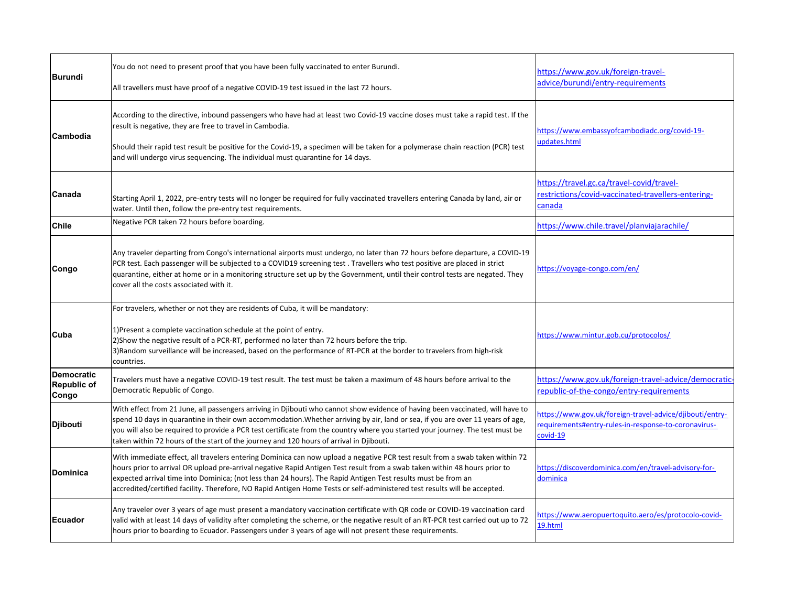| Burundi                                   | You do not need to present proof that you have been fully vaccinated to enter Burundi.<br>All travellers must have proof of a negative COVID-19 test issued in the last 72 hours.                                                                                                                                                                                                                                                                                                                        | https://www.gov.uk/foreign-travel-<br>advice/burundi/entry-requirements                                                      |
|-------------------------------------------|----------------------------------------------------------------------------------------------------------------------------------------------------------------------------------------------------------------------------------------------------------------------------------------------------------------------------------------------------------------------------------------------------------------------------------------------------------------------------------------------------------|------------------------------------------------------------------------------------------------------------------------------|
| Cambodia                                  | According to the directive, inbound passengers who have had at least two Covid-19 vaccine doses must take a rapid test. If the<br>result is negative, they are free to travel in Cambodia.<br>Should their rapid test result be positive for the Covid-19, a specimen will be taken for a polymerase chain reaction (PCR) test<br>and will undergo virus sequencing. The individual must quarantine for 14 days.                                                                                         | https://www.embassyofcambodiadc.org/covid-19-<br>updates.html                                                                |
| Canada                                    | Starting April 1, 2022, pre-entry tests will no longer be required for fully vaccinated travellers entering Canada by land, air or<br>water. Until then, follow the pre-entry test requirements.                                                                                                                                                                                                                                                                                                         | https://travel.gc.ca/travel-covid/travel-<br>restrictions/covid-vaccinated-travellers-entering-<br>canada                    |
| <b>Chile</b>                              | Negative PCR taken 72 hours before boarding.                                                                                                                                                                                                                                                                                                                                                                                                                                                             | https://www.chile.travel/planviajarachile/                                                                                   |
| Congo                                     | Any traveler departing from Congo's international airports must undergo, no later than 72 hours before departure, a COVID-19<br>PCR test. Each passenger will be subjected to a COVID19 screening test. Travellers who test positive are placed in strict<br>quarantine, either at home or in a monitoring structure set up by the Government, until their control tests are negated. They<br>cover all the costs associated with it.                                                                    | https://voyage-congo.com/en/                                                                                                 |
| Cuba                                      | For travelers, whether or not they are residents of Cuba, it will be mandatory:<br>1) Present a complete vaccination schedule at the point of entry.<br>2) Show the negative result of a PCR-RT, performed no later than 72 hours before the trip.<br>3) Random surveillance will be increased, based on the performance of RT-PCR at the border to travelers from high-risk<br>countries.                                                                                                               | https://www.mintur.gob.cu/protocolos/                                                                                        |
| <b>Democratic</b><br>Republic of<br>Congo | Travelers must have a negative COVID-19 test result. The test must be taken a maximum of 48 hours before arrival to the<br>Democratic Republic of Congo.                                                                                                                                                                                                                                                                                                                                                 | https://www.gov.uk/foreign-travel-advice/democratic-<br>republic-of-the-congo/entry-requirements                             |
| <b>Djibouti</b>                           | With effect from 21 June, all passengers arriving in Djibouti who cannot show evidence of having been vaccinated, will have to<br>spend 10 days in quarantine in their own accommodation. Whether arriving by air, land or sea, if you are over 11 years of age,<br>you will also be required to provide a PCR test certificate from the country where you started your journey. The test must be<br>taken within 72 hours of the start of the journey and 120 hours of arrival in Djibouti.             | https://www.gov.uk/foreign-travel-advice/djibouti/entry-<br>requirements#entry-rules-in-response-to-coronavirus-<br>covid-19 |
| <b>Dominica</b>                           | With immediate effect, all travelers entering Dominica can now upload a negative PCR test result from a swab taken within 72<br>hours prior to arrival OR upload pre-arrival negative Rapid Antigen Test result from a swab taken within 48 hours prior to<br>expected arrival time into Dominica; (not less than 24 hours). The Rapid Antigen Test results must be from an<br>accredited/certified facility. Therefore, NO Rapid Antigen Home Tests or self-administered test results will be accepted. | https://discoverdominica.com/en/travel-advisory-for-<br>dominica                                                             |
| <b>IEcuador</b>                           | Any traveler over 3 years of age must present a mandatory vaccination certificate with QR code or COVID-19 vaccination card<br>valid with at least 14 days of validity after completing the scheme, or the negative result of an RT-PCR test carried out up to 72<br>hours prior to boarding to Ecuador. Passengers under 3 years of age will not present these requirements.                                                                                                                            | https://www.aeropuertoguito.aero/es/protocolo-covid-<br>19.html                                                              |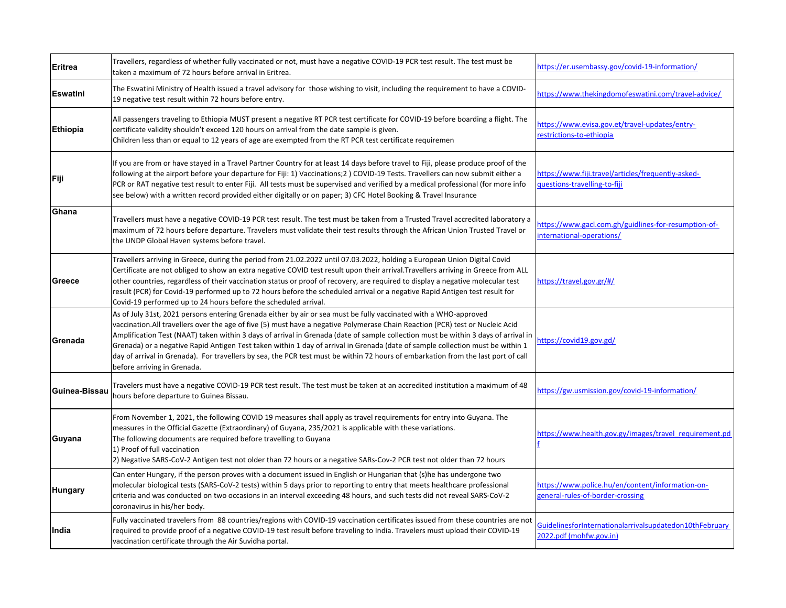| <b>Eritrea</b>  | Travellers, regardless of whether fully vaccinated or not, must have a negative COVID-19 PCR test result. The test must be<br>taken a maximum of 72 hours before arrival in Eritrea.                                                                                                                                                                                                                                                                                                                                                                                                                                                                                                          | https://er.usembassy.gov/covid-19-information/                                       |
|-----------------|-----------------------------------------------------------------------------------------------------------------------------------------------------------------------------------------------------------------------------------------------------------------------------------------------------------------------------------------------------------------------------------------------------------------------------------------------------------------------------------------------------------------------------------------------------------------------------------------------------------------------------------------------------------------------------------------------|--------------------------------------------------------------------------------------|
| <b>Eswatini</b> | The Eswatini Ministry of Health issued a travel advisory for those wishing to visit, including the requirement to have a COVID-<br>19 negative test result within 72 hours before entry.                                                                                                                                                                                                                                                                                                                                                                                                                                                                                                      | https://www.thekingdomofeswatini.com/travel-advice/                                  |
| <b>Ethiopia</b> | All passengers traveling to Ethiopia MUST present a negative RT PCR test certificate for COVID-19 before boarding a flight. The<br>certificate validity shouldn't exceed 120 hours on arrival from the date sample is given.<br>Children less than or equal to 12 years of age are exempted from the RT PCR test certificate requiremen                                                                                                                                                                                                                                                                                                                                                       | https://www.evisa.gov.et/travel-updates/entry-<br>estrictions-to-ethiopia            |
| Fiji            | If you are from or have stayed in a Travel Partner Country for at least 14 days before travel to Fiji, please produce proof of the<br>following at the airport before your departure for Fiji: 1) Vaccinations; 2) COVID-19 Tests. Travellers can now submit either a<br>PCR or RAT negative test result to enter Fiji. All tests must be supervised and verified by a medical professional (for more info<br>see below) with a written record provided either digitally or on paper; 3) CFC Hotel Booking & Travel Insurance                                                                                                                                                                 | https://www.fiji.travel/articles/frequently-asked-<br>questions-travelling-to-fiji   |
| Ghana           | Travellers must have a negative COVID-19 PCR test result. The test must be taken from a Trusted Travel accredited laboratory a<br>maximum of 72 hours before departure. Travelers must validate their test results through the African Union Trusted Travel or<br>the UNDP Global Haven systems before travel.                                                                                                                                                                                                                                                                                                                                                                                | https://www.gacl.com.gh/guidlines-for-resumption-of-<br>international-operations/    |
| Greece          | Travellers arriving in Greece, during the period from 21.02.2022 until 07.03.2022, holding a European Union Digital Covid<br>Certificate are not obliged to show an extra negative COVID test result upon their arrival. Travellers arriving in Greece from ALL<br>other countries, regardless of their vaccination status or proof of recovery, are required to display a negative molecular test<br>result (PCR) for Covid-19 performed up to 72 hours before the scheduled arrival or a negative Rapid Antigen test result for<br>Covid-19 performed up to 24 hours before the scheduled arrival.                                                                                          | https://travel.gov.gr/#/                                                             |
| Grenada         | As of July 31st, 2021 persons entering Grenada either by air or sea must be fully vaccinated with a WHO-approved<br>vaccination.All travellers over the age of five (5) must have a negative Polymerase Chain Reaction (PCR) test or Nucleic Acid<br>Amplification Test (NAAT) taken within 3 days of arrival in Grenada (date of sample collection must be within 3 days of arrival in<br>Grenada) or a negative Rapid Antigen Test taken within 1 day of arrival in Grenada (date of sample collection must be within 1<br>day of arrival in Grenada). For travellers by sea, the PCR test must be within 72 hours of embarkation from the last port of call<br>before arriving in Grenada. | https://covid19.gov.gd/                                                              |
| Guinea-Bissau   | Travelers must have a negative COVID-19 PCR test result. The test must be taken at an accredited institution a maximum of 48<br>hours before departure to Guinea Bissau.                                                                                                                                                                                                                                                                                                                                                                                                                                                                                                                      | https://gw.usmission.gov/covid-19-information/                                       |
| Guyana          | From November 1, 2021, the following COVID 19 measures shall apply as travel requirements for entry into Guyana. The<br>measures in the Official Gazette (Extraordinary) of Guyana, 235/2021 is applicable with these variations.<br>The following documents are required before travelling to Guyana<br>1) Proof of full vaccination<br>2) Negative SARS-CoV-2 Antigen test not older than 72 hours or a negative SARs-Cov-2 PCR test not older than 72 hours                                                                                                                                                                                                                                | https://www.health.gov.gy/images/travel requirement.pd                               |
| <b>Hungary</b>  | Can enter Hungary, if the person proves with a document issued in English or Hungarian that (s)he has undergone two<br>molecular biological tests (SARS-CoV-2 tests) within 5 days prior to reporting to entry that meets healthcare professional<br>criteria and was conducted on two occasions in an interval exceeding 48 hours, and such tests did not reveal SARS-CoV-2<br>coronavirus in his/her body.                                                                                                                                                                                                                                                                                  | https://www.police.hu/en/content/information-on-<br>general-rules-of-border-crossing |
| India           | Fully vaccinated travelers from 88 countries/regions with COVID-19 vaccination certificates issued from these countries are not<br>required to provide proof of a negative COVID-19 test result before traveling to India. Travelers must upload their COVID-19<br>vaccination certificate through the Air Suvidha portal.                                                                                                                                                                                                                                                                                                                                                                    | GuidelinesforInternationalarrivalsupdatedon10thFebruary<br>2022.pdf (mohfw.gov.in)   |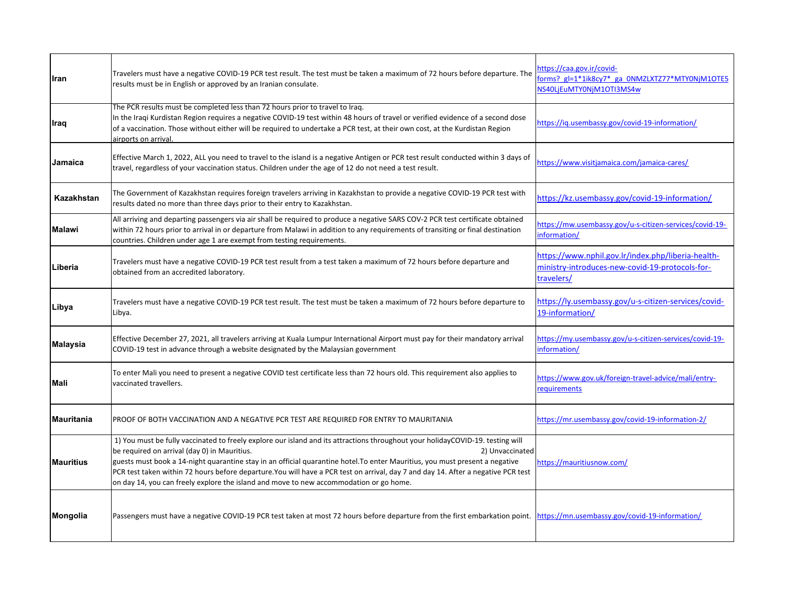| Iran              | Travelers must have a negative COVID-19 PCR test result. The test must be taken a maximum of 72 hours before departure. The<br>results must be in English or approved by an Iranian consulate.                                                                                                                                                                                                                                                                                                                                                                   | https://caa.gov.ir/covid-<br>forms? gl=1*1ik8cy7* ga 0NMZLXTZ77*MTY0NjM1OTE5<br>NS40LjEuMTY0NjM1OTI3MS4w            |
|-------------------|------------------------------------------------------------------------------------------------------------------------------------------------------------------------------------------------------------------------------------------------------------------------------------------------------------------------------------------------------------------------------------------------------------------------------------------------------------------------------------------------------------------------------------------------------------------|---------------------------------------------------------------------------------------------------------------------|
| Iraq              | The PCR results must be completed less than 72 hours prior to travel to Iraq.<br>In the Iraqi Kurdistan Region requires a negative COVID-19 test within 48 hours of travel or verified evidence of a second dose<br>of a vaccination. Those without either will be required to undertake a PCR test, at their own cost, at the Kurdistan Region<br>airports on arrival                                                                                                                                                                                           | https://ig.usembassy.gov/covid-19-information/                                                                      |
| Jamaica           | Effective March 1, 2022, ALL you need to travel to the island is a negative Antigen or PCR test result conducted within 3 days of<br>travel, regardless of your vaccination status. Children under the age of 12 do not need a test result.                                                                                                                                                                                                                                                                                                                      | https://www.visitjamaica.com/jamaica-cares/                                                                         |
| Kazakhstan        | The Government of Kazakhstan requires foreign travelers arriving in Kazakhstan to provide a negative COVID-19 PCR test with<br>results dated no more than three days prior to their entry to Kazakhstan.                                                                                                                                                                                                                                                                                                                                                         | https://kz.usembassy.gov/covid-19-information/                                                                      |
| <b>Malawi</b>     | All arriving and departing passengers via air shall be required to produce a negative SARS COV-2 PCR test certificate obtained<br>within 72 hours prior to arrival in or departure from Malawi in addition to any requirements of transiting or final destination<br>countries. Children under age 1 are exempt from testing requirements.                                                                                                                                                                                                                       | https://mw.usembassy.gov/u-s-citizen-services/covid-19-<br>information/                                             |
| Liberia           | Travelers must have a negative COVID-19 PCR test result from a test taken a maximum of 72 hours before departure and<br>obtained from an accredited laboratory.                                                                                                                                                                                                                                                                                                                                                                                                  | https://www.nphil.gov.lr/index.php/liberia-health-<br>ministry-introduces-new-covid-19-protocols-for-<br>travelers/ |
| Libya             | Travelers must have a negative COVID-19 PCR test result. The test must be taken a maximum of 72 hours before departure to<br>Libya.                                                                                                                                                                                                                                                                                                                                                                                                                              | https://ly.usembassy.gov/u-s-citizen-services/covid-<br>19-information/                                             |
| Malaysia          | Effective December 27, 2021, all travelers arriving at Kuala Lumpur International Airport must pay for their mandatory arrival<br>COVID-19 test in advance through a website designated by the Malaysian government                                                                                                                                                                                                                                                                                                                                              | https://my.usembassy.gov/u-s-citizen-services/covid-19-<br>information/                                             |
| Mali              | To enter Mali you need to present a negative COVID test certificate less than 72 hours old. This requirement also applies to<br>vaccinated travellers.                                                                                                                                                                                                                                                                                                                                                                                                           | https://www.gov.uk/foreign-travel-advice/mali/entry-<br>requirements                                                |
| <b>Mauritania</b> | PROOF OF BOTH VACCINATION AND A NEGATIVE PCR TEST ARE REQUIRED FOR ENTRY TO MAURITANIA                                                                                                                                                                                                                                                                                                                                                                                                                                                                           | https://mr.usembassy.gov/covid-19-information-2/                                                                    |
| <b>Mauritius</b>  | 1) You must be fully vaccinated to freely explore our island and its attractions throughout your holidayCOVID-19. testing will<br>be required on arrival (day 0) in Mauritius.<br>2) Unvaccinated<br>guests must book a 14-night quarantine stay in an official quarantine hotel. To enter Mauritius, you must present a negative<br>PCR test taken within 72 hours before departure. You will have a PCR test on arrival, day 7 and day 14. After a negative PCR test<br>on day 14, you can freely explore the island and move to new accommodation or go home. | https://mauritiusnow.com/                                                                                           |
| Mongolia          | Passengers must have a negative COVID-19 PCR test taken at most 72 hours before departure from the first embarkation point.                                                                                                                                                                                                                                                                                                                                                                                                                                      | https://mn.usembassy.gov/covid-19-information/                                                                      |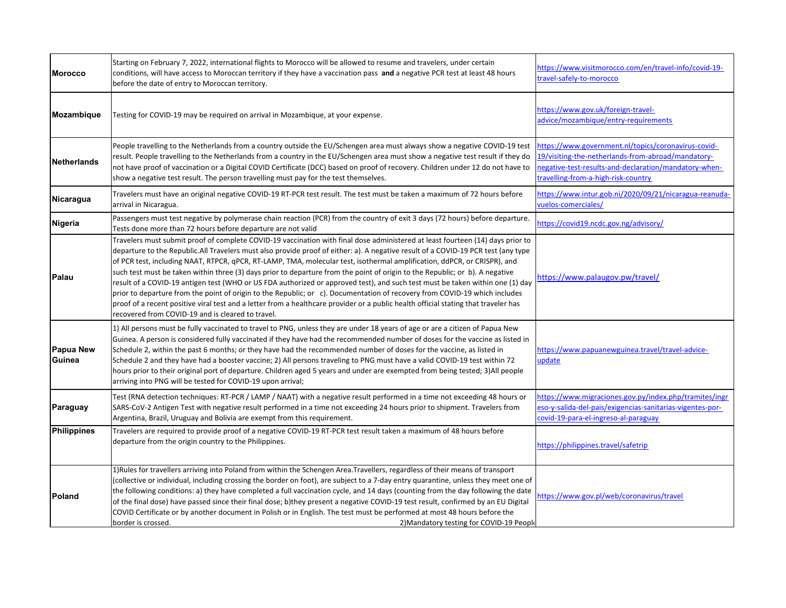| <b>Morocco</b>      | Starting on February 7, 2022, international flights to Morocco will be allowed to resume and travelers, under certain<br>conditions, will have access to Moroccan territory if they have a vaccination pass and a negative PCR test at least 48 hours<br>before the date of entry to Moroccan territory.                                                                                                                                                                                                                                                                                                                                                                                                                                                                                                                                                                                                                                                                                    | https://www.visitmorocco.com/en/travel-info/covid-19-<br>travel-safely-to-morocco                                                                                                                         |
|---------------------|---------------------------------------------------------------------------------------------------------------------------------------------------------------------------------------------------------------------------------------------------------------------------------------------------------------------------------------------------------------------------------------------------------------------------------------------------------------------------------------------------------------------------------------------------------------------------------------------------------------------------------------------------------------------------------------------------------------------------------------------------------------------------------------------------------------------------------------------------------------------------------------------------------------------------------------------------------------------------------------------|-----------------------------------------------------------------------------------------------------------------------------------------------------------------------------------------------------------|
| Mozambique          | Testing for COVID-19 may be required on arrival in Mozambique, at your expense.                                                                                                                                                                                                                                                                                                                                                                                                                                                                                                                                                                                                                                                                                                                                                                                                                                                                                                             | https://www.gov.uk/foreign-travel-<br>advice/mozambique/entry-requirements                                                                                                                                |
| <b>Netherlands</b>  | People travelling to the Netherlands from a country outside the EU/Schengen area must always show a negative COVID-19 test<br>result. People travelling to the Netherlands from a country in the EU/Schengen area must show a negative test result if they do<br>not have proof of vaccination or a Digital COVID Certificate (DCC) based on proof of recovery. Children under 12 do not have to<br>show a negative test result. The person travelling must pay for the test themselves.                                                                                                                                                                                                                                                                                                                                                                                                                                                                                                    | https://www.government.nl/topics/coronavirus-covid-<br>19/visiting-the-netherlands-from-abroad/mandatory-<br>negative-test-results-and-declaration/mandatory-when-<br>travelling-from-a-high-risk-country |
| Nicaragua           | Travelers must have an original negative COVID-19 RT-PCR test result. The test must be taken a maximum of 72 hours before<br>arrival in Nicaragua.                                                                                                                                                                                                                                                                                                                                                                                                                                                                                                                                                                                                                                                                                                                                                                                                                                          | https://www.intur.gob.ni/2020/09/21/nicaragua-reanuda-<br>vuelos-comerciales/                                                                                                                             |
| Nigeria             | Passengers must test negative by polymerase chain reaction (PCR) from the country of exit 3 days (72 hours) before departure.<br>Tests done more than 72 hours before departure are not valid                                                                                                                                                                                                                                                                                                                                                                                                                                                                                                                                                                                                                                                                                                                                                                                               | https://covid19.ncdc.gov.ng/advisory/                                                                                                                                                                     |
| Palau               | Travelers must submit proof of complete COVID-19 vaccination with final dose administered at least fourteen (14) days prior to<br>departure to the Republic. All Travelers must also provide proof of either: a). A negative result of a COVID-19 PCR test (any type<br>of PCR test, including NAAT, RTPCR, qPCR, RT-LAMP, TMA, molecular test, isothermal amplification, ddPCR, or CRISPR), and<br>such test must be taken within three (3) days prior to departure from the point of origin to the Republic; or b). A negative<br>result of a COVID-19 antigen test (WHO or US FDA authorized or approved test), and such test must be taken within one (1) day<br>prior to departure from the point of origin to the Republic; or c). Documentation of recovery from COVID-19 which includes<br>proof of a recent positive viral test and a letter from a healthcare provider or a public health official stating that traveler has<br>recovered from COVID-19 and is cleared to travel. | https://www.palaugov.pw/travel/                                                                                                                                                                           |
| Papua New<br>Guinea | 1) All persons must be fully vaccinated to travel to PNG, unless they are under 18 years of age or are a citizen of Papua New<br>Guinea. A person is considered fully vaccinated if they have had the recommended number of doses for the vaccine as listed in<br>Schedule 2, within the past 6 months; or they have had the recommended number of doses for the vaccine, as listed in<br>Schedule 2 and they have had a booster vaccine; 2) All persons traveling to PNG must have a valid COVID-19 test within 72<br>hours prior to their original port of departure. Children aged 5 years and under are exempted from being tested; 3)All people<br>arriving into PNG will be tested for COVID-19 upon arrival;                                                                                                                                                                                                                                                                         | https://www.papuanewguinea.travel/travel-advice-<br>update                                                                                                                                                |
| Paraguay            | Test (RNA detection techniques: RT-PCR / LAMP / NAAT) with a negative result performed in a time not exceeding 48 hours or<br>SARS-CoV-2 Antigen Test with negative result performed in a time not exceeding 24 hours prior to shipment. Travelers from<br>Argentina, Brazil, Uruguay and Bolivia are exempt from this requirement.                                                                                                                                                                                                                                                                                                                                                                                                                                                                                                                                                                                                                                                         | https://www.migraciones.gov.py/index.php/tramites/ingr<br>eso-y-salida-del-pais/exigencias-sanitarias-vigentes-por-<br>covid-19-para-el-ingreso-al-paraguay                                               |
| <b>Philippines</b>  | Travelers are required to provide proof of a negative COVID-19 RT-PCR test result taken a maximum of 48 hours before<br>departure from the origin country to the Philippines.                                                                                                                                                                                                                                                                                                                                                                                                                                                                                                                                                                                                                                                                                                                                                                                                               | https://philippines.travel/safetrip                                                                                                                                                                       |
| Poland              | 1) Rules for travellers arriving into Poland from within the Schengen Area. Travellers, regardless of their means of transport<br>(collective or individual, including crossing the border on foot), are subject to a 7-day entry quarantine, unless they meet one of<br>the following conditions: a) they have completed a full vaccination cycle, and 14 days (counting from the day following the date<br>of the final dose) have passed since their final dose; b)they present a negative COVID-19 test result, confirmed by an EU Digital<br>COVID Certificate or by another document in Polish or in English. The test must be performed at most 48 hours before the<br>border is crossed.<br>2) Mandatory testing for COVID-19 People                                                                                                                                                                                                                                                | https://www.gov.pl/web/coronavirus/travel                                                                                                                                                                 |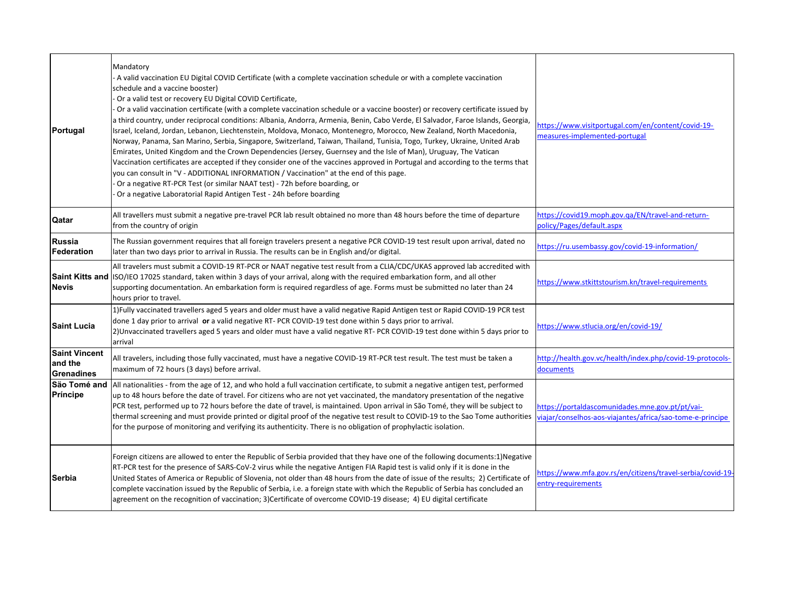| Portugal                                             | Mandatory<br>A valid vaccination EU Digital COVID Certificate (with a complete vaccination schedule or with a complete vaccination<br>schedule and a vaccine booster)<br>Or a valid test or recovery EU Digital COVID Certificate,<br>Or a valid vaccination certificate (with a complete vaccination schedule or a vaccine booster) or recovery certificate issued by<br>a third country, under reciprocal conditions: Albania, Andorra, Armenia, Benin, Cabo Verde, El Salvador, Faroe Islands, Georgia,<br>Israel, Iceland, Jordan, Lebanon, Liechtenstein, Moldova, Monaco, Montenegro, Morocco, New Zealand, North Macedonia,<br>Norway, Panama, San Marino, Serbia, Singapore, Switzerland, Taiwan, Thailand, Tunisia, Togo, Turkey, Ukraine, United Arab<br>Emirates, United Kingdom and the Crown Dependencies (Jersey, Guernsey and the Isle of Man), Uruguay, The Vatican<br>Vaccination certificates are accepted if they consider one of the vaccines approved in Portugal and according to the terms that<br>you can consult in "V - ADDITIONAL INFORMATION / Vaccination" at the end of this page.<br>Or a negative RT-PCR Test (or similar NAAT test) - 72h before boarding, or<br>Or a negative Laboratorial Rapid Antigen Test - 24h before boarding | https://www.visitportugal.com/en/content/covid-19-<br>measures-implemented-portugal                          |
|------------------------------------------------------|-----------------------------------------------------------------------------------------------------------------------------------------------------------------------------------------------------------------------------------------------------------------------------------------------------------------------------------------------------------------------------------------------------------------------------------------------------------------------------------------------------------------------------------------------------------------------------------------------------------------------------------------------------------------------------------------------------------------------------------------------------------------------------------------------------------------------------------------------------------------------------------------------------------------------------------------------------------------------------------------------------------------------------------------------------------------------------------------------------------------------------------------------------------------------------------------------------------------------------------------------------------------------|--------------------------------------------------------------------------------------------------------------|
| Qatar                                                | All travellers must submit a negative pre-travel PCR lab result obtained no more than 48 hours before the time of departure<br>from the country of origin                                                                                                                                                                                                                                                                                                                                                                                                                                                                                                                                                                                                                                                                                                                                                                                                                                                                                                                                                                                                                                                                                                             | https://covid19.moph.gov.qa/EN/travel-and-return-<br>policy/Pages/default.aspx                               |
| Russia<br>Federation                                 | The Russian government requires that all foreign travelers present a negative PCR COVID-19 test result upon arrival, dated no<br>later than two days prior to arrival in Russia. The results can be in English and/or digital.                                                                                                                                                                                                                                                                                                                                                                                                                                                                                                                                                                                                                                                                                                                                                                                                                                                                                                                                                                                                                                        | https://ru.usembassy.gov/covid-19-information/                                                               |
| <b>Nevis</b>                                         | All travelers must submit a COVID-19 RT-PCR or NAAT negative test result from a CLIA/CDC/UKAS approved lab accredited with<br>Saint Kitts and ISO/IEO 17025 standard, taken within 3 days of your arrival, along with the required embarkation form, and all other<br>supporting documentation. An embarkation form is required regardless of age. Forms must be submitted no later than 24<br>hours prior to travel.                                                                                                                                                                                                                                                                                                                                                                                                                                                                                                                                                                                                                                                                                                                                                                                                                                                 | https://www.stkittstourism.kn/travel-requirements                                                            |
| <b>Saint Lucia</b>                                   | 1) Fully vaccinated travellers aged 5 years and older must have a valid negative Rapid Antigen test or Rapid COVID-19 PCR test<br>done 1 day prior to arrival or a valid negative RT- PCR COVID-19 test done within 5 days prior to arrival.<br>2) Unvaccinated travellers aged 5 years and older must have a valid negative RT- PCR COVID-19 test done within 5 days prior to<br>arrival                                                                                                                                                                                                                                                                                                                                                                                                                                                                                                                                                                                                                                                                                                                                                                                                                                                                             | https://www.stlucia.org/en/covid-19/                                                                         |
| <b>Saint Vincent</b><br>and the<br><b>Grenadines</b> | All travelers, including those fully vaccinated, must have a negative COVID-19 RT-PCR test result. The test must be taken a<br>maximum of 72 hours (3 days) before arrival.                                                                                                                                                                                                                                                                                                                                                                                                                                                                                                                                                                                                                                                                                                                                                                                                                                                                                                                                                                                                                                                                                           | http://health.gov.vc/health/index.php/covid-19-protocols-<br>documents                                       |
| São Tomé and<br>Príncipe                             | All nationalities - from the age of 12, and who hold a full vaccination certificate, to submit a negative antigen test, performed<br>up to 48 hours before the date of travel. For citizens who are not yet vaccinated, the mandatory presentation of the negative<br>PCR test, performed up to 72 hours before the date of travel, is maintained. Upon arrival in São Tomé, they will be subject to<br>thermal screening and must provide printed or digital proof of the negative test result to COVID-19 to the Sao Tome authorities<br>for the purpose of monitoring and verifying its authenticity. There is no obligation of prophylactic isolation.                                                                                                                                                                                                                                                                                                                                                                                                                                                                                                                                                                                                            | https://portaldascomunidades.mne.gov.pt/pt/vai-<br>viajar/conselhos-aos-viajantes/africa/sao-tome-e-principe |
| Serbia                                               | Foreign citizens are allowed to enter the Republic of Serbia provided that they have one of the following documents:1)Negative<br>RT-PCR test for the presence of SARS-CoV-2 virus while the negative Antigen FIA Rapid test is valid only if it is done in the<br>United States of America or Republic of Slovenia, not older than 48 hours from the date of issue of the results; 2) Certificate of<br>complete vaccination issued by the Republic of Serbia, i.e. a foreign state with which the Republic of Serbia has concluded an<br>agreement on the recognition of vaccination; 3)Certificate of overcome COVID-19 disease; 4) EU digital certificate                                                                                                                                                                                                                                                                                                                                                                                                                                                                                                                                                                                                         | https://www.mfa.gov.rs/en/citizens/travel-serbia/covid-19-<br>entry-requirements                             |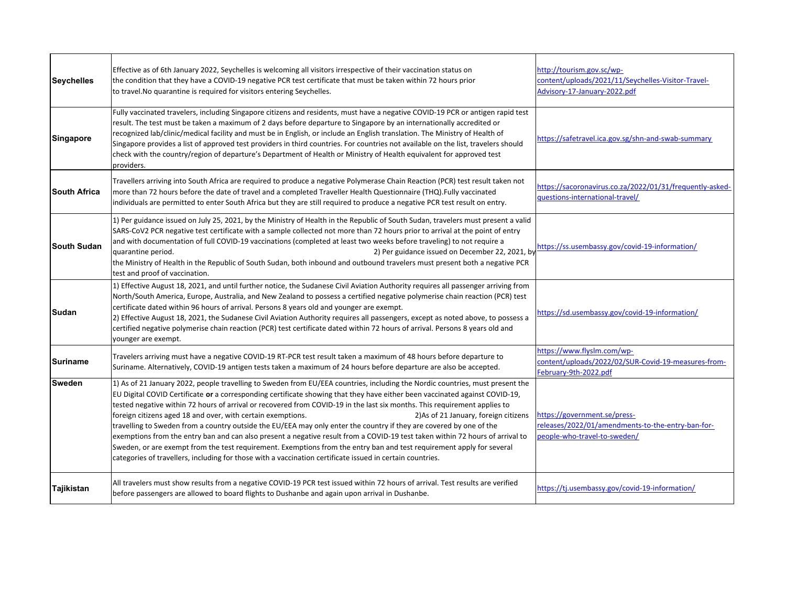| <b>Seychelles</b>   | Effective as of 6th January 2022, Seychelles is welcoming all visitors irrespective of their vaccination status on<br>the condition that they have a COVID-19 negative PCR test certificate that must be taken within 72 hours prior<br>to travel. No quarantine is required for visitors entering Seychelles.                                                                                                                                                                                                                                                                                                                                                                                                                                                                                                                                                                                                                                                                                  | http://tourism.gov.sc/wp-<br>content/uploads/2021/11/Seychelles-Visitor-Travel-<br>Advisory-17-January-2022.pdf   |
|---------------------|-------------------------------------------------------------------------------------------------------------------------------------------------------------------------------------------------------------------------------------------------------------------------------------------------------------------------------------------------------------------------------------------------------------------------------------------------------------------------------------------------------------------------------------------------------------------------------------------------------------------------------------------------------------------------------------------------------------------------------------------------------------------------------------------------------------------------------------------------------------------------------------------------------------------------------------------------------------------------------------------------|-------------------------------------------------------------------------------------------------------------------|
| <b>Singapore</b>    | Fully vaccinated travelers, including Singapore citizens and residents, must have a negative COVID-19 PCR or antigen rapid test<br>result. The test must be taken a maximum of 2 days before departure to Singapore by an internationally accredited or<br>recognized lab/clinic/medical facility and must be in English, or include an English translation. The Ministry of Health of<br>Singapore provides a list of approved test providers in third countries. For countries not available on the list, travelers should<br>check with the country/region of departure's Department of Health or Ministry of Health equivalent for approved test<br>providers.                                                                                                                                                                                                                                                                                                                              | https://safetravel.ica.gov.sg/shn-and-swab-summary                                                                |
| <b>South Africa</b> | Travellers arriving into South Africa are required to produce a negative Polymerase Chain Reaction (PCR) test result taken not<br>more than 72 hours before the date of travel and a completed Traveller Health Questionnaire (THQ).Fully vaccinated<br>individuals are permitted to enter South Africa but they are still required to produce a negative PCR test result on entry.                                                                                                                                                                                                                                                                                                                                                                                                                                                                                                                                                                                                             | https://sacoronavirus.co.za/2022/01/31/frequently-asked-<br>questions-international-travel/                       |
| <b>South Sudan</b>  | 1) Per guidance issued on July 25, 2021, by the Ministry of Health in the Republic of South Sudan, travelers must present a valid<br>SARS-CoV2 PCR negative test certificate with a sample collected not more than 72 hours prior to arrival at the point of entry<br>and with documentation of full COVID-19 vaccinations (completed at least two weeks before traveling) to not require a<br>2) Per guidance issued on December 22, 2021, by<br>quarantine period.<br>the Ministry of Health in the Republic of South Sudan, both inbound and outbound travelers must present both a negative PCR<br>test and proof of vaccination.                                                                                                                                                                                                                                                                                                                                                           | https://ss.usembassy.gov/covid-19-information/                                                                    |
| Sudan               | 1) Effective August 18, 2021, and until further notice, the Sudanese Civil Aviation Authority requires all passenger arriving from<br>North/South America, Europe, Australia, and New Zealand to possess a certified negative polymerise chain reaction (PCR) test<br>certificate dated within 96 hours of arrival. Persons 8 years old and younger are exempt.<br>2) Effective August 18, 2021, the Sudanese Civil Aviation Authority requires all passengers, except as noted above, to possess a<br>certified negative polymerise chain reaction (PCR) test certificate dated within 72 hours of arrival. Persons 8 years old and<br>younger are exempt.                                                                                                                                                                                                                                                                                                                                     | https://sd.usembassy.gov/covid-19-information/                                                                    |
| <b>Suriname</b>     | Travelers arriving must have a negative COVID-19 RT-PCR test result taken a maximum of 48 hours before departure to<br>Suriname. Alternatively, COVID-19 antigen tests taken a maximum of 24 hours before departure are also be accepted.                                                                                                                                                                                                                                                                                                                                                                                                                                                                                                                                                                                                                                                                                                                                                       | https://www.flyslm.com/wp-<br>content/uploads/2022/02/SUR-Covid-19-measures-from-<br>February-9th-2022.pdf        |
| Sweden              | 1) As of 21 January 2022, people travelling to Sweden from EU/EEA countries, including the Nordic countries, must present the<br>EU Digital COVID Certificate or a corresponding certificate showing that they have either been vaccinated against COVID-19,<br>tested negative within 72 hours of arrival or recovered from COVID-19 in the last six months. This requirement applies to<br>foreign citizens aged 18 and over, with certain exemptions.<br>2) As of 21 January, foreign citizens<br>travelling to Sweden from a country outside the EU/EEA may only enter the country if they are covered by one of the<br>exemptions from the entry ban and can also present a negative result from a COVID-19 test taken within 72 hours of arrival to<br>Sweden, or are exempt from the test requirement. Exemptions from the entry ban and test requirement apply for several<br>categories of travellers, including for those with a vaccination certificate issued in certain countries. | https://government.se/press-<br>releases/2022/01/amendments-to-the-entry-ban-for-<br>beople-who-travel-to-sweden/ |
| Tajikistan          | All travelers must show results from a negative COVID-19 PCR test issued within 72 hours of arrival. Test results are verified<br>before passengers are allowed to board flights to Dushanbe and again upon arrival in Dushanbe.                                                                                                                                                                                                                                                                                                                                                                                                                                                                                                                                                                                                                                                                                                                                                                | https://tj.usembassy.gov/covid-19-information/                                                                    |